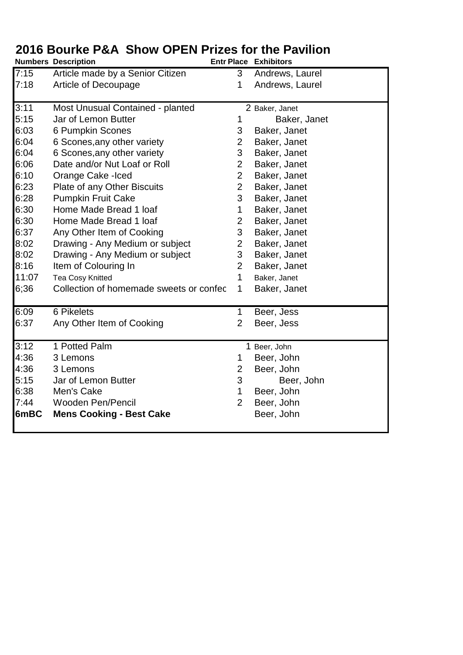|       | <b>Numbers Description</b>              |                | <b>Entr Place Exhibitors</b> |
|-------|-----------------------------------------|----------------|------------------------------|
| 7:15  | Article made by a Senior Citizen        | 3              | Andrews, Laurel              |
| 7:18  | Article of Decoupage                    | 1              | Andrews, Laurel              |
|       |                                         |                |                              |
| 3:11  | Most Unusual Contained - planted        |                | 2 Baker, Janet               |
| 5:15  | Jar of Lemon Butter                     | 1              | Baker, Janet                 |
| 6:03  | 6 Pumpkin Scones                        | 3              | Baker, Janet                 |
| 6:04  | 6 Scones, any other variety             | 2              | Baker, Janet                 |
| 6:04  | 6 Scones, any other variety             | 3              | Baker, Janet                 |
| 6:06  | Date and/or Nut Loaf or Roll            | $\overline{2}$ | Baker, Janet                 |
| 6:10  | Orange Cake -Iced                       | $\overline{2}$ | Baker, Janet                 |
| 6:23  | Plate of any Other Biscuits             | $\overline{2}$ | Baker, Janet                 |
| 6:28  | <b>Pumpkin Fruit Cake</b>               | 3              | Baker, Janet                 |
| 6:30  | Home Made Bread 1 loaf                  | 1              | Baker, Janet                 |
| 6:30  | Home Made Bread 1 loaf                  | 2              | Baker, Janet                 |
| 6:37  | Any Other Item of Cooking               | 3              | Baker, Janet                 |
| 8:02  | Drawing - Any Medium or subject         | $\overline{2}$ | Baker, Janet                 |
| 8:02  | Drawing - Any Medium or subject         | 3              | Baker, Janet                 |
| 8:16  | Item of Colouring In                    | $\overline{2}$ | Baker, Janet                 |
| 11:07 | <b>Tea Cosy Knitted</b>                 | 1              | Baker, Janet                 |
| 6;36  | Collection of homemade sweets or confec | 1              | Baker, Janet                 |
|       |                                         |                |                              |
| 6:09  | 6 Pikelets                              | 1              | Beer, Jess                   |
| 6:37  | Any Other Item of Cooking               | $\overline{2}$ | Beer, Jess                   |
|       |                                         |                |                              |
| 3:12  | 1 Potted Palm                           |                | 1 Beer, John                 |
| 4:36  | 3 Lemons                                | 1              | Beer, John                   |
| 4:36  | 3 Lemons                                | $\overline{2}$ | Beer, John                   |
| 5:15  | Jar of Lemon Butter                     | 3              | Beer, John                   |
| 6:38  | Men's Cake                              | 1              | Beer, John                   |
| 7:44  | <b>Wooden Pen/Pencil</b>                | $\overline{2}$ | Beer, John                   |
| 6mBC  | <b>Mens Cooking - Best Cake</b>         |                | Beer, John                   |
|       |                                         |                |                              |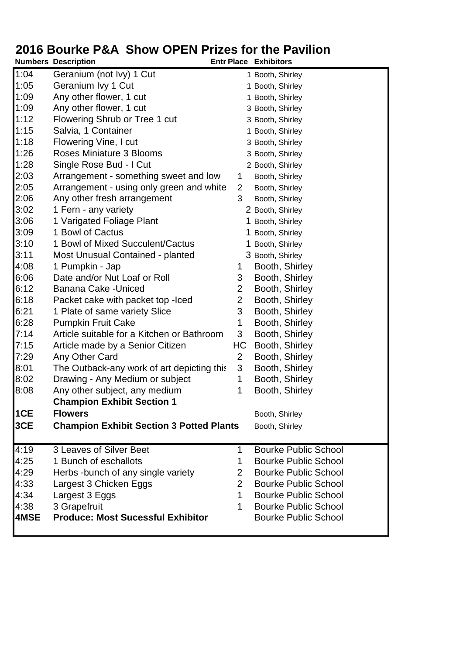|      | <b>Numbers Description</b>                      |                | <b>Entr Place Exhibitors</b> |
|------|-------------------------------------------------|----------------|------------------------------|
| 1:04 | Geranium (not Ivy) 1 Cut                        |                | 1 Booth, Shirley             |
| 1:05 | Geranium Ivy 1 Cut                              |                | 1 Booth, Shirley             |
| 1:09 | Any other flower, 1 cut                         |                | 1 Booth, Shirley             |
| 1:09 | Any other flower, 1 cut                         |                | 3 Booth, Shirley             |
| 1:12 | Flowering Shrub or Tree 1 cut                   |                | 3 Booth, Shirley             |
| 1:15 | Salvia, 1 Container                             |                | 1 Booth, Shirley             |
| 1:18 | Flowering Vine, I cut                           |                | 3 Booth, Shirley             |
| 1:26 | Roses Miniature 3 Blooms                        |                | 3 Booth, Shirley             |
| 1:28 | Single Rose Bud - I Cut                         |                | 2 Booth, Shirley             |
| 2:03 | Arrangement - something sweet and low           | $\mathbf 1$    | Booth, Shirley               |
| 2:05 | Arrangement - using only green and white        | 2              | Booth, Shirley               |
| 2:06 | Any other fresh arrangement                     | 3              | Booth, Shirley               |
| 3:02 | 1 Fern - any variety                            |                | 2 Booth, Shirley             |
| 3:06 | 1 Varigated Foliage Plant                       |                | 1 Booth, Shirley             |
| 3:09 | 1 Bowl of Cactus                                |                | 1 Booth, Shirley             |
| 3:10 | 1 Bowl of Mixed Succulent/Cactus                |                | 1 Booth, Shirley             |
| 3:11 | Most Unusual Contained - planted                |                | 3 Booth, Shirley             |
| 4:08 | 1 Pumpkin - Jap                                 | 1              | Booth, Shirley               |
| 6:06 | Date and/or Nut Loaf or Roll                    | 3              | Booth, Shirley               |
| 6:12 | Banana Cake - Uniced                            | $\overline{2}$ | Booth, Shirley               |
| 6:18 | Packet cake with packet top - lced              | $\overline{2}$ | Booth, Shirley               |
| 6:21 | 1 Plate of same variety Slice                   | 3              | Booth, Shirley               |
| 6:28 | <b>Pumpkin Fruit Cake</b>                       | 1              | Booth, Shirley               |
| 7:14 | Article suitable for a Kitchen or Bathroom      | 3              | Booth, Shirley               |
| 7:15 | Article made by a Senior Citizen                | HC             | Booth, Shirley               |
| 7:29 | Any Other Card                                  | $\overline{2}$ | Booth, Shirley               |
| 8:01 | The Outback-any work of art depicting this      | 3              | Booth, Shirley               |
| 8:02 | Drawing - Any Medium or subject                 | 1              | Booth, Shirley               |
| 8:08 | Any other subject, any medium                   | 1              | Booth, Shirley               |
|      | <b>Champion Exhibit Section 1</b>               |                |                              |
| 1CE  | <b>Flowers</b>                                  |                | Booth, Shirley               |
| 3CE  | <b>Champion Exhibit Section 3 Potted Plants</b> |                | Booth, Shirley               |
| 4:19 | 3 Leaves of Silver Beet                         | 1              | <b>Bourke Public School</b>  |
| 4:25 | 1 Bunch of eschallots                           | 1              | <b>Bourke Public School</b>  |
| 4:29 | Herbs -bunch of any single variety              | $\overline{2}$ | <b>Bourke Public School</b>  |
| 4:33 | Largest 3 Chicken Eggs                          | $\overline{2}$ | <b>Bourke Public School</b>  |
| 4:34 | Largest 3 Eggs                                  | $\mathbf 1$    | <b>Bourke Public School</b>  |
| 4:38 | 3 Grapefruit                                    | 1              | <b>Bourke Public School</b>  |
| 4MSE | <b>Produce: Most Sucessful Exhibitor</b>        |                | <b>Bourke Public School</b>  |
|      |                                                 |                |                              |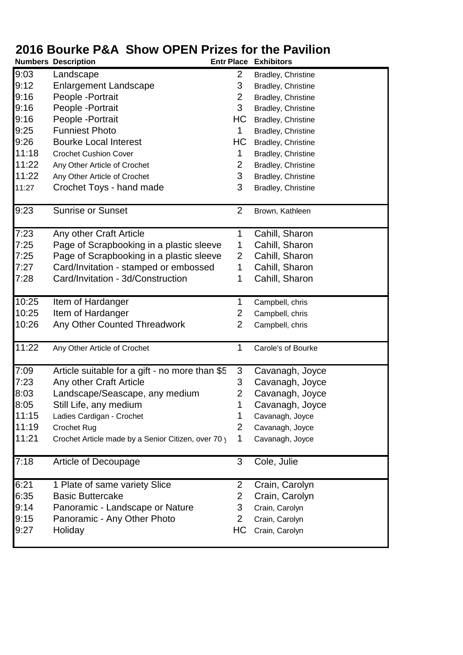|       | <b>Numbers Description</b>                          | <b>Entr Place</b> | <b>Exhibitors</b>  |
|-------|-----------------------------------------------------|-------------------|--------------------|
| 9:03  | Landscape                                           | 2                 | Bradley, Christine |
| 9:12  | <b>Enlargement Landscape</b>                        | 3                 | Bradley, Christine |
| 9:16  | People - Portrait                                   | $\overline{2}$    | Bradley, Christine |
| 9:16  | People - Portrait                                   | 3                 | Bradley, Christine |
| 9:16  | People - Portrait                                   | HC                | Bradley, Christine |
| 9:25  | <b>Funniest Photo</b>                               | 1                 | Bradley, Christine |
| 9:26  | <b>Bourke Local Interest</b>                        | HС                | Bradley, Christine |
| 11:18 | <b>Crochet Cushion Cover</b>                        | 1                 | Bradley, Christine |
| 11:22 | Any Other Article of Crochet                        | 2                 | Bradley, Christine |
| 11:22 | Any Other Article of Crochet                        | 3                 | Bradley, Christine |
| 11:27 | Crochet Toys - hand made                            | 3                 | Bradley, Christine |
|       |                                                     |                   |                    |
| 9:23  | <b>Sunrise or Sunset</b>                            | $\overline{2}$    | Brown, Kathleen    |
|       |                                                     |                   |                    |
| 7:23  | Any other Craft Article                             | 1                 | Cahill, Sharon     |
| 7:25  | Page of Scrapbooking in a plastic sleeve            | 1                 | Cahill, Sharon     |
| 7:25  | Page of Scrapbooking in a plastic sleeve            | $\overline{2}$    | Cahill, Sharon     |
| 7:27  | Card/Invitation - stamped or embossed               | 1                 | Cahill, Sharon     |
| 7:28  | Card/Invitation - 3d/Construction                   | 1                 | Cahill, Sharon     |
| 10:25 | Item of Hardanger                                   | 1                 | Campbell, chris    |
| 10:25 | Item of Hardanger                                   | 2                 | Campbell, chris    |
| 10:26 | Any Other Counted Threadwork                        | $\overline{2}$    | Campbell, chris    |
|       |                                                     |                   |                    |
| 11:22 | Any Other Article of Crochet                        | 1                 | Carole's of Bourke |
| 7:09  | Article suitable for a gift - no more than \$5      | 3                 | Cavanagh, Joyce    |
| 7:23  | Any other Craft Article                             | 3                 | Cavanagh, Joyce    |
| 8:03  | Landscape/Seascape, any medium                      | $\overline{2}$    | Cavanagh, Joyce    |
| 8:05  | Still Life, any medium                              | 1                 | Cavanagh, Joyce    |
| 11:15 | Ladies Cardigan - Crochet                           | 1                 | Cavanagh, Joyce    |
| 11:19 | Crochet Rug                                         | $\overline{2}$    | Cavanagh, Joyce    |
| 11:21 | Crochet Article made by a Senior Citizen, over 70 y | 1                 |                    |
|       |                                                     |                   | Cavanagh, Joyce    |
| 7:18  | Article of Decoupage                                | 3                 | Cole, Julie        |
|       |                                                     |                   |                    |
| 6:21  | 1 Plate of same variety Slice                       | $\mathbf{2}$      | Crain, Carolyn     |
| 6:35  | <b>Basic Buttercake</b>                             | $\overline{2}$    | Crain, Carolyn     |
| 9:14  | Panoramic - Landscape or Nature                     | 3                 | Crain, Carolyn     |
| 9:15  | Panoramic - Any Other Photo                         | $\mathbf{2}$      | Crain, Carolyn     |
| 9:27  | Holiday                                             | HС                | Crain, Carolyn     |
|       |                                                     |                   |                    |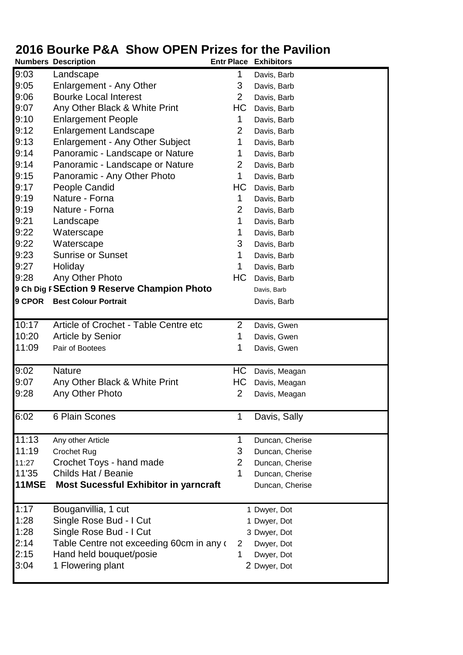|        | <b>Numbers Description</b>                   | <b>Entr Place</b> | <b>Exhibitors</b> |
|--------|----------------------------------------------|-------------------|-------------------|
| 9:03   | Landscape                                    |                   | Davis, Barb       |
| 9:05   | Enlargement - Any Other                      | 3                 | Davis, Barb       |
| 9:06   | <b>Bourke Local Interest</b>                 | $\overline{2}$    | Davis, Barb       |
| 9:07   | Any Other Black & White Print                | HC                | Davis, Barb       |
| 9:10   | <b>Enlargement People</b>                    | 1                 | Davis, Barb       |
| 9:12   | <b>Enlargement Landscape</b>                 | 2                 | Davis, Barb       |
| 9:13   | <b>Enlargement - Any Other Subject</b>       | 1                 | Davis, Barb       |
| 9:14   | Panoramic - Landscape or Nature              | 1                 | Davis, Barb       |
| 9:14   | Panoramic - Landscape or Nature              | 2                 | Davis, Barb       |
| 9:15   | Panoramic - Any Other Photo                  | 1                 | Davis, Barb       |
| 9:17   | People Candid                                | HС                | Davis, Barb       |
| 9:19   | Nature - Forna                               | 1                 | Davis, Barb       |
| 9:19   | Nature - Forna                               | $\overline{2}$    | Davis, Barb       |
| 9:21   | Landscape                                    | 1                 | Davis, Barb       |
| 9:22   | Waterscape                                   | 1                 | Davis, Barb       |
| 9:22   | Waterscape                                   | 3                 | Davis, Barb       |
| 9:23   | <b>Sunrise or Sunset</b>                     | 1                 | Davis, Barb       |
| 9:27   | Holiday                                      | 1                 | Davis, Barb       |
| 9:28   | Any Other Photo                              | НC                | Davis, Barb       |
|        | 9 Ch Dig F SEction 9 Reserve Champion Photo  |                   | Davis, Barb       |
| 9 CPOR | <b>Best Colour Portrait</b>                  |                   | Davis, Barb       |
|        |                                              |                   |                   |
| 10:17  | Article of Crochet - Table Centre etc        | $\overline{2}$    | Davis, Gwen       |
| 10:20  | <b>Article by Senior</b>                     | 1                 | Davis, Gwen       |
| 11:09  | Pair of Bootees                              | 1                 | Davis, Gwen       |
|        |                                              |                   |                   |
| 9:02   | <b>Nature</b>                                | HC                | Davis, Meagan     |
| 9:07   | Any Other Black & White Print                | HС                | Davis, Meagan     |
| 9:28   | Any Other Photo                              | 2                 | Davis, Meagan     |
|        |                                              |                   |                   |
| 6:02   | 6 Plain Scones                               | 1                 | Davis, Sally      |
|        |                                              |                   |                   |
| 11:13  | Any other Article                            | 1                 | Duncan, Cherise   |
| 11:19  | <b>Crochet Rug</b>                           | 3                 | Duncan, Cherise   |
| 11:27  | Crochet Toys - hand made                     | $\overline{2}$    | Duncan, Cherise   |
| 11'35  | Childs Hat / Beanie                          | 1                 | Duncan, Cherise   |
| 11MSE  | <b>Most Sucessful Exhibitor in yarncraft</b> |                   | Duncan, Cherise   |
|        |                                              |                   |                   |
| 1:17   | Bouganvillia, 1 cut                          |                   | 1 Dwyer, Dot      |
| 1:28   | Single Rose Bud - I Cut                      |                   | 1 Dwyer, Dot      |
| 1:28   | Single Rose Bud - I Cut                      |                   | 3 Dwyer, Dot      |
| 2:14   | Table Centre not exceeding 60cm in any of    | $\overline{2}$    | Dwyer, Dot        |
| 2:15   | Hand held bouquet/posie                      | 1                 | Dwyer, Dot        |
| 3:04   | 1 Flowering plant                            |                   | 2 Dwyer, Dot      |
|        |                                              |                   |                   |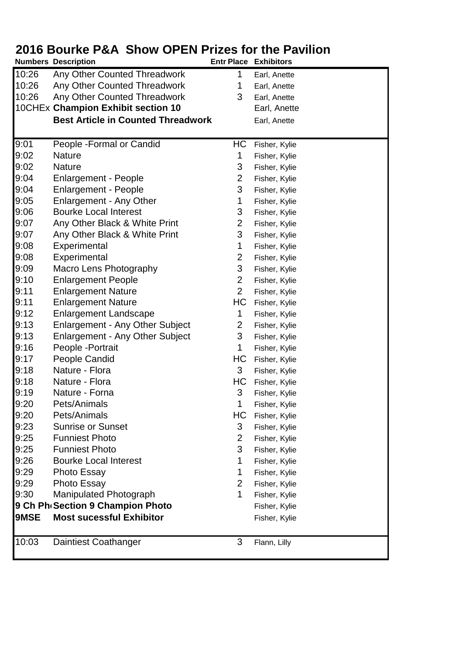|       | <b>Numbers Description</b>                |                | <b>Entr Place Exhibitors</b> |
|-------|-------------------------------------------|----------------|------------------------------|
| 10:26 | Any Other Counted Threadwork              | 1              | Earl, Anette                 |
| 10:26 | Any Other Counted Threadwork              | 1              | Earl, Anette                 |
| 10:26 | Any Other Counted Threadwork              | 3              | Earl, Anette                 |
|       | 10CHEx Champion Exhibit section 10        |                | Earl, Anette                 |
|       | <b>Best Article in Counted Threadwork</b> |                | Earl, Anette                 |
|       |                                           |                |                              |
| 9:01  | People - Formal or Candid                 | HС             | Fisher, Kylie                |
| 9:02  | <b>Nature</b>                             | 1              | Fisher, Kylie                |
| 9:02  | <b>Nature</b>                             | 3              | Fisher, Kylie                |
| 9:04  | <b>Enlargement - People</b>               | 2              | Fisher, Kylie                |
| 9:04  | <b>Enlargement - People</b>               | 3              | Fisher, Kylie                |
| 9:05  | Enlargement - Any Other                   | 1              | Fisher, Kylie                |
| 9:06  | <b>Bourke Local Interest</b>              | 3              | Fisher, Kylie                |
| 9:07  | Any Other Black & White Print             | $\overline{2}$ | Fisher, Kylie                |
| 9:07  | Any Other Black & White Print             | 3              | Fisher, Kylie                |
| 9:08  | Experimental                              | 1              | Fisher, Kylie                |
| 9:08  | Experimental                              | 2              | Fisher, Kylie                |
| 9:09  | Macro Lens Photography                    | 3              | Fisher, Kylie                |
| 9:10  | <b>Enlargement People</b>                 | 2              | Fisher, Kylie                |
| 9:11  | <b>Enlargement Nature</b>                 | $\overline{2}$ | Fisher, Kylie                |
| 9:11  | <b>Enlargement Nature</b>                 | HС             | Fisher, Kylie                |
| 9:12  | <b>Enlargement Landscape</b>              | 1              | Fisher, Kylie                |
| 9:13  | <b>Enlargement - Any Other Subject</b>    | 2              | Fisher, Kylie                |
| 9:13  | <b>Enlargement - Any Other Subject</b>    | 3              | Fisher, Kylie                |
| 9:16  | People - Portrait                         | 1              | Fisher, Kylie                |
| 9:17  | <b>People Candid</b>                      | HС             | Fisher, Kylie                |
| 9:18  | Nature - Flora                            | 3              | Fisher, Kylie                |
| 9:18  | Nature - Flora                            | HС             | Fisher, Kylie                |
| 9:19  | Nature - Forna                            | 3              | Fisher, Kylie                |
| 9:20  | Pets/Animals                              | 1.             | Fisher, Kylie                |
| 9:20  | Pets/Animals                              | HC             | Fisher, Kylie                |
| 9:23  | <b>Sunrise or Sunset</b>                  | 3              | Fisher, Kylie                |
| 9:25  | <b>Funniest Photo</b>                     | $\overline{2}$ | Fisher, Kylie                |
| 9:25  | <b>Funniest Photo</b>                     | 3              | Fisher, Kylie                |
| 9:26  | <b>Bourke Local Interest</b>              | 1              | Fisher, Kylie                |
| 9:29  | <b>Photo Essay</b>                        | 1              | Fisher, Kylie                |
| 9:29  | Photo Essay                               | $\overline{2}$ | Fisher, Kylie                |
| 9:30  | Manipulated Photograph                    | 1              | Fisher, Kylie                |
|       | 9 Ch Ph Section 9 Champion Photo          |                | Fisher, Kylie                |
| 9MSE  | <b>Most sucessful Exhibitor</b>           |                | Fisher, Kylie                |
| 10:03 | Daintiest Coathanger                      | 3              | Flann, Lilly                 |
|       |                                           |                |                              |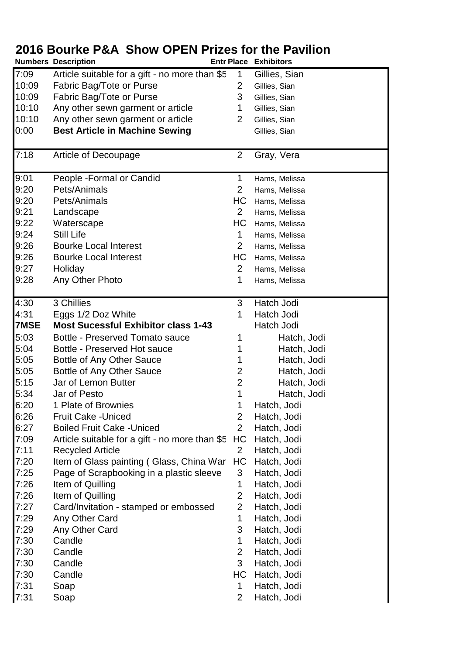|             | ZUTU DUUI NG F CA QITUW UF LIN FITZGS TUL LITG F AVITIUM<br><b>Numbers Description</b> |                | <b>Entr Place Exhibitors</b> |
|-------------|----------------------------------------------------------------------------------------|----------------|------------------------------|
| 7:09        | Article suitable for a gift - no more than \$5                                         | 1              | Gillies, Sian                |
| 10:09       | Fabric Bag/Tote or Purse                                                               | 2              | Gillies, Sian                |
| 10:09       | Fabric Bag/Tote or Purse                                                               | 3              | Gillies, Sian                |
| 10:10       | Any other sewn garment or article                                                      | 1              | Gillies, Sian                |
| 10:10       | Any other sewn garment or article                                                      | $\overline{2}$ | Gillies, Sian                |
| 0:00        | <b>Best Article in Machine Sewing</b>                                                  |                | Gillies, Sian                |
|             |                                                                                        |                |                              |
| 7:18        | Article of Decoupage                                                                   | $\overline{2}$ | Gray, Vera                   |
| 9:01        | People - Formal or Candid                                                              | 1              | Hams, Melissa                |
| 9:20        | Pets/Animals                                                                           | $\overline{2}$ | Hams, Melissa                |
| 9:20        | Pets/Animals                                                                           | HС             | Hams, Melissa                |
| 9:21        | Landscape                                                                              | $\overline{2}$ |                              |
| 9:22        | Waterscape                                                                             | HC             | Hams, Melissa                |
| 9:24        | <b>Still Life</b>                                                                      | 1              | Hams, Melissa                |
| 9:26        | <b>Bourke Local Interest</b>                                                           | $\overline{2}$ | Hams, Melissa                |
|             |                                                                                        |                | Hams, Melissa                |
| 9:26        | <b>Bourke Local Interest</b>                                                           | HС             | Hams, Melissa                |
| 9:27        | Holiday                                                                                | $\overline{2}$ | Hams, Melissa                |
| 9:28        | Any Other Photo                                                                        | 1              | Hams, Melissa                |
| 4:30        | 3 Chillies                                                                             | 3              | Hatch Jodi                   |
| 4:31        | Eggs 1/2 Doz White                                                                     | 1              | Hatch Jodi                   |
| <b>7MSE</b> | <b>Most Sucessful Exhibitor class 1-43</b>                                             |                | Hatch Jodi                   |
| 5:03        | Bottle - Preserved Tomato sauce                                                        | 1              | Hatch, Jodi                  |
| 5:04        | Bottle - Preserved Hot sauce                                                           | 1              | Hatch, Jodi                  |
| 5:05        | Bottle of Any Other Sauce                                                              | 1              | Hatch, Jodi                  |
| 5:05        | Bottle of Any Other Sauce                                                              | 2              | Hatch, Jodi                  |
| 5:15        | Jar of Lemon Butter                                                                    | $\overline{2}$ | Hatch, Jodi                  |
| 5:34        | Jar of Pesto                                                                           | 1              | Hatch, Jodi                  |
| 6:20        | 1 Plate of Brownies                                                                    | 1              | Hatch, Jodi                  |
| 6:26        | <b>Fruit Cake - Uniced</b>                                                             | $\overline{2}$ | Hatch, Jodi                  |
| 6:27        | <b>Boiled Fruit Cake - Uniced</b>                                                      | $\overline{2}$ | Hatch, Jodi                  |
| 7:09        | Article suitable for a gift - no more than \$5                                         | HC             | Hatch, Jodi                  |
| 7:11        | <b>Recycled Article</b>                                                                | $\overline{2}$ | Hatch, Jodi                  |
| 7:20        | Item of Glass painting (Glass, China War                                               | HC             | Hatch, Jodi                  |
| 7:25        | Page of Scrapbooking in a plastic sleeve                                               | 3              | Hatch, Jodi                  |
| 7:26        | Item of Quilling                                                                       | 1              | Hatch, Jodi                  |
| 7:26        | Item of Quilling                                                                       | $\overline{2}$ | Hatch, Jodi                  |
| 7:27        | Card/Invitation - stamped or embossed                                                  | $\overline{2}$ | Hatch, Jodi                  |
| 7:29        | Any Other Card                                                                         | 1              | Hatch, Jodi                  |
| 7:29        | Any Other Card                                                                         | 3              | Hatch, Jodi                  |
| 7:30        | Candle                                                                                 | 1              | Hatch, Jodi                  |
| 7:30        | Candle                                                                                 | $\overline{2}$ | Hatch, Jodi                  |
| 7:30        | Candle                                                                                 | 3              | Hatch, Jodi                  |
| 7:30        | Candle                                                                                 | НC             | Hatch, Jodi                  |
| 7:31        | Soap                                                                                   | 1              | Hatch, Jodi                  |
| 7:31        | Soap                                                                                   | $\overline{2}$ | Hatch, Jodi                  |
|             |                                                                                        |                |                              |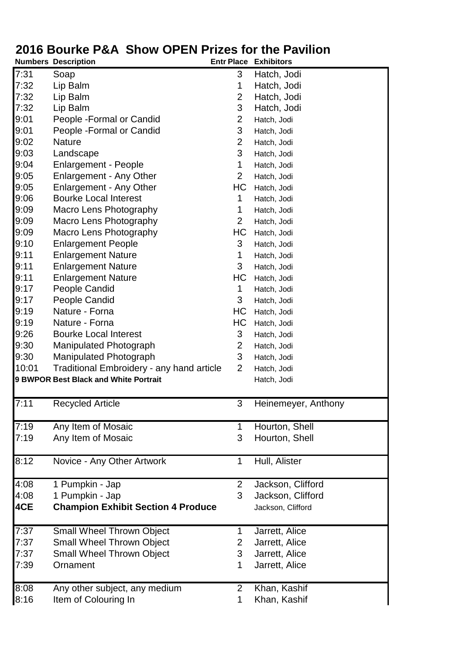|       | <b>Numbers Description</b>                       | <b>Entr Place</b> | <b>Exhibitors</b>   |
|-------|--------------------------------------------------|-------------------|---------------------|
| 7:31  | Soap                                             | 3                 | Hatch, Jodi         |
| 7:32  | Lip Balm                                         | 1                 | Hatch, Jodi         |
| 7:32  | Lip Balm                                         | 2                 | Hatch, Jodi         |
| 7:32  | Lip Balm                                         | 3                 | Hatch, Jodi         |
| 9:01  | People - Formal or Candid                        | $\overline{2}$    | Hatch, Jodi         |
| 9:01  | People - Formal or Candid                        | 3                 | Hatch, Jodi         |
| 9:02  | <b>Nature</b>                                    | $\overline{2}$    | Hatch, Jodi         |
| 9:03  | Landscape                                        | 3                 | Hatch, Jodi         |
| 9:04  | <b>Enlargement - People</b>                      | 1                 | Hatch, Jodi         |
| 9:05  | Enlargement - Any Other                          | $\overline{2}$    | Hatch, Jodi         |
| 9:05  | Enlargement - Any Other                          | HC                | Hatch, Jodi         |
| 9:06  | <b>Bourke Local Interest</b>                     | 1                 | Hatch, Jodi         |
| 9:09  | Macro Lens Photography                           | 1                 | Hatch, Jodi         |
| 9:09  | Macro Lens Photography                           | $\overline{2}$    | Hatch, Jodi         |
| 9:09  | Macro Lens Photography                           | HС                | Hatch, Jodi         |
| 9:10  | <b>Enlargement People</b>                        | 3                 | Hatch, Jodi         |
| 9:11  | <b>Enlargement Nature</b>                        | 1                 | Hatch, Jodi         |
| 9:11  | <b>Enlargement Nature</b>                        | 3                 | Hatch, Jodi         |
| 9:11  | <b>Enlargement Nature</b>                        | HC                | Hatch, Jodi         |
| 9:17  | People Candid                                    | 1                 | Hatch, Jodi         |
| 9:17  | People Candid                                    | 3                 | Hatch, Jodi         |
| 9:19  | Nature - Forna                                   | HС                | Hatch, Jodi         |
| 9:19  | Nature - Forna                                   | HС                | Hatch, Jodi         |
| 9:26  | <b>Bourke Local Interest</b>                     | 3                 | Hatch, Jodi         |
| 9:30  | <b>Manipulated Photograph</b>                    | $\overline{2}$    | Hatch, Jodi         |
| 9:30  | <b>Manipulated Photograph</b>                    | 3                 | Hatch, Jodi         |
| 10:01 | <b>Traditional Embroidery - any hand article</b> | $\overline{2}$    | Hatch, Jodi         |
|       | 9 BWPOR Best Black and White Portrait            |                   | Hatch, Jodi         |
|       |                                                  |                   |                     |
| 7:11  | <b>Recycled Article</b>                          | 3                 | Heinemeyer, Anthony |
| 7:19  | Any Item of Mosaic                               |                   | Hourton, Shell      |
| 7:19  | Any Item of Mosaic                               | 3                 | Hourton, Shell      |
|       |                                                  |                   |                     |
| 8:12  | Novice - Any Other Artwork                       | 1                 | Hull, Alister       |
| 4:08  | 1 Pumpkin - Jap                                  | $\overline{2}$    | Jackson, Clifford   |
| 4:08  | 1 Pumpkin - Jap                                  | 3                 | Jackson, Clifford   |
| 4CE   | <b>Champion Exhibit Section 4 Produce</b>        |                   | Jackson, Clifford   |
| 7:37  | <b>Small Wheel Thrown Object</b>                 | 1                 | Jarrett, Alice      |
| 7:37  | <b>Small Wheel Thrown Object</b>                 | 2                 | Jarrett, Alice      |
| 7:37  | <b>Small Wheel Thrown Object</b>                 | 3                 | Jarrett, Alice      |
| 7:39  | Ornament                                         | 1                 | Jarrett, Alice      |
| 8:08  | Any other subject, any medium                    | $\overline{2}$    | Khan, Kashif        |
| 8:16  | Item of Colouring In                             | 1                 | Khan, Kashif        |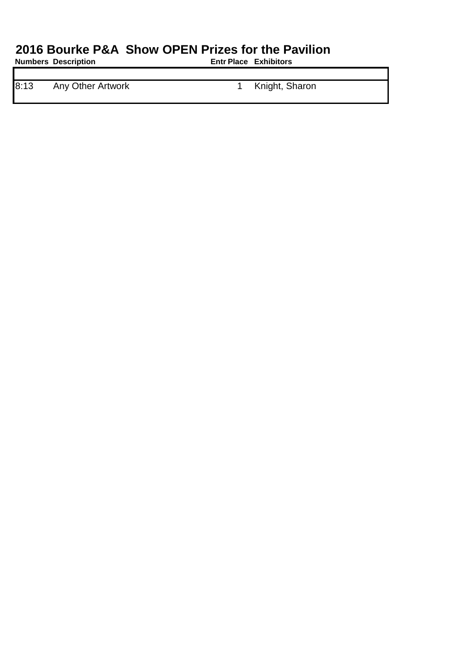**Numbers Description** 

8:13 Any Other Artwork 1 Knight, Sharon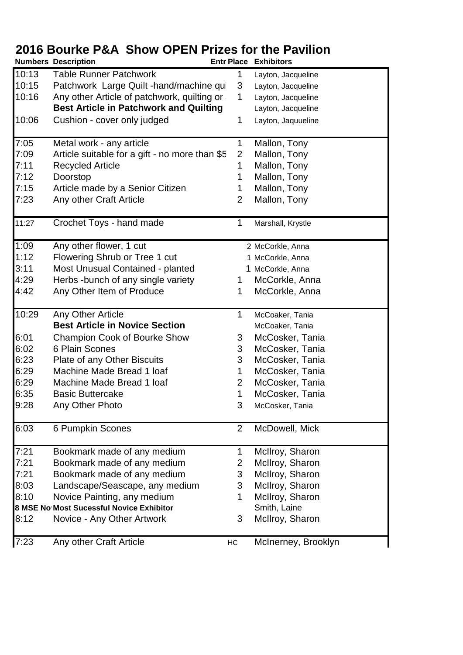|       | <b>Numbers Description</b>                     |                | <b>Entr Place Exhibitors</b> |
|-------|------------------------------------------------|----------------|------------------------------|
| 10:13 | <b>Table Runner Patchwork</b>                  |                | Layton, Jacqueline           |
| 10:15 | Patchwork Large Quilt -hand/machine qui        | 3              | Layton, Jacqueline           |
| 10:16 | Any other Article of patchwork, quilting or    | 1              | Layton, Jacqueline           |
|       | <b>Best Article in Patchwork and Quilting</b>  |                | Layton, Jacqueline           |
| 10:06 | Cushion - cover only judged                    | 1              | Layton, Jaquueline           |
|       |                                                |                |                              |
| 7:05  | Metal work - any article                       | 1              | Mallon, Tony                 |
| 7:09  | Article suitable for a gift - no more than \$5 | $\overline{2}$ | Mallon, Tony                 |
| 7:11  | <b>Recycled Article</b>                        | 1              | Mallon, Tony                 |
| 7:12  | Doorstop                                       | 1              | Mallon, Tony                 |
| 7:15  | Article made by a Senior Citizen               | 1              | Mallon, Tony                 |
| 7:23  | Any other Craft Article                        | $\overline{2}$ | Mallon, Tony                 |
|       |                                                |                |                              |
| 11:27 | Crochet Toys - hand made                       | 1              | Marshall, Krystle            |
|       |                                                |                |                              |
| 1:09  | Any other flower, 1 cut                        |                | 2 McCorkle, Anna             |
| 1:12  | Flowering Shrub or Tree 1 cut                  |                | 1 McCorkle, Anna             |
| 3:11  | Most Unusual Contained - planted               |                | 1 McCorkle, Anna             |
| 4:29  | Herbs -bunch of any single variety             | 1              | McCorkle, Anna               |
| 4:42  | Any Other Item of Produce                      | 1              | McCorkle, Anna               |
|       |                                                |                |                              |
| 10:29 | Any Other Article                              | 1              | McCoaker, Tania              |
|       | <b>Best Article in Novice Section</b>          |                | McCoaker, Tania              |
| 6:01  | Champion Cook of Bourke Show                   | 3              | McCosker, Tania              |
| 6:02  | 6 Plain Scones                                 | 3              | McCosker, Tania              |
| 6:23  | Plate of any Other Biscuits                    | 3              | McCosker, Tania              |
| 6:29  | Machine Made Bread 1 loaf                      | 1              | McCosker, Tania              |
| 6:29  | Machine Made Bread 1 loaf                      | $\overline{2}$ | McCosker, Tania              |
| 6:35  | <b>Basic Buttercake</b>                        | 1              | McCosker, Tania              |
| 9:28  | Any Other Photo                                | 3              | McCosker, Tania              |
|       |                                                |                |                              |
| 6:03  | 6 Pumpkin Scones                               | 2              | McDowell, Mick               |
|       |                                                |                |                              |
| 7:21  | Bookmark made of any medium                    | 1              | McIlroy, Sharon              |
| 7:21  | Bookmark made of any medium                    | 2              | McIlroy, Sharon              |
| 7:21  | Bookmark made of any medium                    | 3              | McIlroy, Sharon              |
| 8:03  | Landscape/Seascape, any medium                 | 3              | McIlroy, Sharon              |
| 8:10  | Novice Painting, any medium                    | 1              | McIlroy, Sharon              |
|       | 8 MSE No Most Sucessful Novice Exhibitor       |                | Smith, Laine                 |
| 8:12  | Novice - Any Other Artwork                     | 3              | McIlroy, Sharon              |
|       |                                                |                |                              |
| 7:23  | Any other Craft Article                        | HC             | McInerney, Brooklyn          |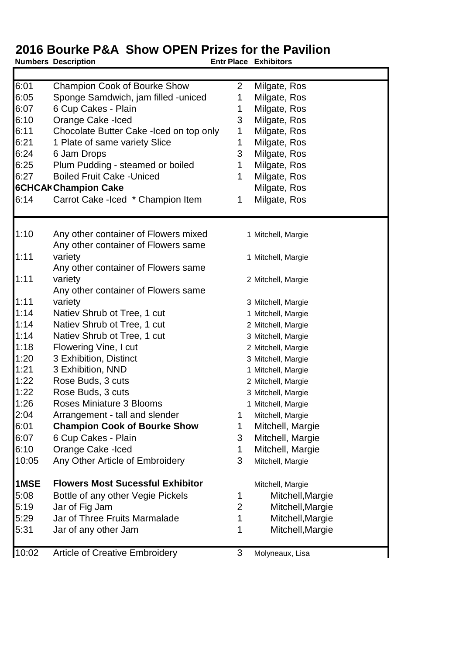|       | <b>Numbers Description</b>               | <b>Entr Place Exhibitors</b> |                    |
|-------|------------------------------------------|------------------------------|--------------------|
|       |                                          |                              |                    |
| 6:01  | <b>Champion Cook of Bourke Show</b>      | $\overline{2}$               | Milgate, Ros       |
| 6:05  | Sponge Samdwich, jam filled -uniced      | 1                            | Milgate, Ros       |
| 6:07  | 6 Cup Cakes - Plain                      | 1                            | Milgate, Ros       |
| 6:10  | Orange Cake - Iced                       | 3                            | Milgate, Ros       |
| 6:11  | Chocolate Butter Cake - Iced on top only | 1                            | Milgate, Ros       |
| 6:21  | 1 Plate of same variety Slice            | 1                            | Milgate, Ros       |
| 6:24  | 6 Jam Drops                              | 3                            | Milgate, Ros       |
| 6:25  | Plum Pudding - steamed or boiled         | 1                            | Milgate, Ros       |
| 6:27  | <b>Boiled Fruit Cake - Uniced</b>        | 1                            | Milgate, Ros       |
|       | <b>6CHCAI Champion Cake</b>              |                              | Milgate, Ros       |
| 6:14  | Carrot Cake - Iced * Champion Item       | 1                            | Milgate, Ros       |
| 1:10  | Any other container of Flowers mixed     |                              | 1 Mitchell, Margie |
|       | Any other container of Flowers same      |                              |                    |
| 1:11  | variety                                  |                              | 1 Mitchell, Margie |
|       | Any other container of Flowers same      |                              |                    |
| 1:11  | variety                                  |                              | 2 Mitchell, Margie |
|       | Any other container of Flowers same      |                              |                    |
| 1:11  | variety                                  |                              | 3 Mitchell, Margie |
| 1:14  | Natiev Shrub ot Tree, 1 cut              |                              | 1 Mitchell, Margie |
| 1:14  | Natiev Shrub ot Tree, 1 cut              |                              | 2 Mitchell, Margie |
| 1:14  | Natiev Shrub ot Tree, 1 cut              |                              | 3 Mitchell, Margie |
| 1:18  | Flowering Vine, I cut                    |                              | 2 Mitchell, Margie |
| 1:20  | 3 Exhibition, Distinct                   |                              | 3 Mitchell, Margie |
| 1:21  | 3 Exhibition, NND                        |                              | 1 Mitchell, Margie |
| 1:22  | Rose Buds, 3 cuts                        |                              | 2 Mitchell, Margie |
| 1:22  | Rose Buds, 3 cuts                        |                              | 3 Mitchell, Margie |
| 1:26  | Roses Miniature 3 Blooms                 |                              | 1 Mitchell, Margie |
| 2:04  | Arrangement - tall and slender           | 1                            | Mitchell, Margie   |
| 6:01  | <b>Champion Cook of Bourke Show</b>      | 1                            | Mitchell, Margie   |
| 6:07  | 6 Cup Cakes - Plain                      | 3                            | Mitchell, Margie   |
| 6:10  | Orange Cake - Iced                       | 1                            | Mitchell, Margie   |
| 10:05 | Any Other Article of Embroidery          | 3                            | Mitchell, Margie   |
| 1MSE  | <b>Flowers Most Sucessful Exhibitor</b>  |                              | Mitchell, Margie   |
| 5:08  | Bottle of any other Vegie Pickels        | 1                            | Mitchell, Margie   |
| 5:19  | Jar of Fig Jam                           | 2                            | Mitchell, Margie   |
| 5:29  | Jar of Three Fruits Marmalade            | 1                            | Mitchell, Margie   |
| 5:31  | Jar of any other Jam                     | 1                            | Mitchell, Margie   |
| 10:02 | <b>Article of Creative Embroidery</b>    | 3                            | Molyneaux, Lisa    |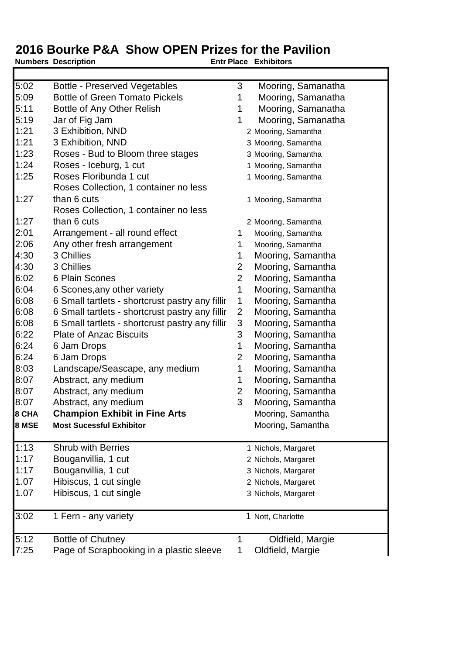#### **Numbers Description**

Г

 $\overline{\mathbf{I}}$ 

| 5:02  | <b>Bottle - Preserved Vegetables</b>            | 3              | Mooring, Samanatha  |
|-------|-------------------------------------------------|----------------|---------------------|
| 5:09  | <b>Bottle of Green Tomato Pickels</b>           | 1              | Mooring, Samanatha  |
| 5:11  | Bottle of Any Other Relish                      | 1              | Mooring, Samanatha  |
| 5:19  | Jar of Fig Jam                                  | 1              | Mooring, Samanatha  |
| 1:21  | 3 Exhibition, NND                               |                | 2 Mooring, Samantha |
| 1:21  | 3 Exhibition, NND                               |                | 3 Mooring, Samantha |
| 1:23  | Roses - Bud to Bloom three stages               |                | 3 Mooring, Samantha |
| 1:24  | Roses - Iceburg, 1 cut                          |                | 1 Mooring, Samantha |
| 1:25  | Roses Floribunda 1 cut                          |                | 1 Mooring, Samantha |
|       | Roses Collection, 1 container no less           |                |                     |
| 1:27  | than 6 cuts                                     |                | 1 Mooring, Samantha |
|       | Roses Collection, 1 container no less           |                |                     |
| 1:27  | than 6 cuts                                     |                | 2 Mooring, Samantha |
| 2:01  | Arrangement - all round effect                  | 1              | Mooring, Samantha   |
| 2:06  | Any other fresh arrangement                     | 1              | Mooring, Samantha   |
| 4:30  | 3 Chillies                                      | 1              | Mooring, Samantha   |
| 4:30  | 3 Chillies                                      | 2              | Mooring, Samantha   |
| 6:02  | 6 Plain Scones                                  | $\overline{2}$ | Mooring, Samantha   |
| 6:04  | 6 Scones, any other variety                     | 1              | Mooring, Samantha   |
| 6:08  | 6 Small tartlets - shortcrust pastry any fillir | 1              | Mooring, Samantha   |
| 6:08  | 6 Small tartlets - shortcrust pastry any fillir | $\overline{2}$ | Mooring, Samantha   |
| 6:08  | 6 Small tartlets - shortcrust pastry any fillir | 3              | Mooring, Samantha   |
| 6:22  | <b>Plate of Anzac Biscuits</b>                  | 3              | Mooring, Samantha   |
| 6:24  | 6 Jam Drops                                     | 1              | Mooring, Samantha   |
| 6:24  | 6 Jam Drops                                     | $\overline{2}$ | Mooring, Samantha   |
| 8:03  | Landscape/Seascape, any medium                  | 1              | Mooring, Samantha   |
| 8:07  | Abstract, any medium                            | 1              | Mooring, Samantha   |
| 8:07  | Abstract, any medium                            | $\overline{c}$ | Mooring, Samantha   |
| 8:07  | Abstract, any medium                            | 3              | Mooring, Samantha   |
| 8 CHA | <b>Champion Exhibit in Fine Arts</b>            |                | Mooring, Samantha   |
| 8 MSE | <b>Most Sucessful Exhibitor</b>                 |                | Mooring, Samantha   |
| 1:13  | <b>Shrub with Berries</b>                       |                | 1 Nichols, Margaret |
| 1:17  | Bouganvillia, 1 cut                             |                | 2 Nichols, Margaret |
| 1:17  | Bouganvillia, 1 cut                             |                | 3 Nichols, Margaret |
| 1.07  | Hibiscus, 1 cut single                          |                | 2 Nichols, Margaret |
| 1.07  | Hibiscus, 1 cut single                          |                | 3 Nichols, Margaret |
| 3:02  | 1 Fern - any variety                            |                | 1 Nott, Charlotte   |
| 5:12  | <b>Bottle of Chutney</b>                        | 1              | Oldfield, Margie    |
| 7:25  | Page of Scrapbooking in a plastic sleeve        | 1              | Oldfield, Margie    |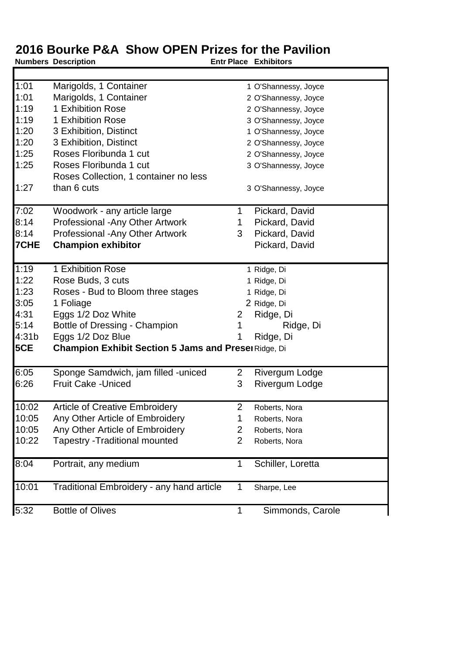**Numbers Description** 

Г

 $\blacksquare$ 

| 1:01       | Marigolds, 1 Container                                     |                | 1 O'Shannessy, Joyce  |  |
|------------|------------------------------------------------------------|----------------|-----------------------|--|
| 1:01       | Marigolds, 1 Container                                     |                | 2 O'Shannessy, Joyce  |  |
| 1:19       | 1 Exhibition Rose                                          |                | 2 O'Shannessy, Joyce  |  |
| 1:19       | 1 Exhibition Rose                                          |                | 3 O'Shannessy, Joyce  |  |
| 1:20       | 3 Exhibition, Distinct                                     |                | 1 O'Shannessy, Joyce  |  |
| 1:20       | 3 Exhibition, Distinct                                     |                | 2 O'Shannessy, Joyce  |  |
| 1:25       | Roses Floribunda 1 cut                                     |                | 2 O'Shannessy, Joyce  |  |
| 1:25       | Roses Floribunda 1 cut                                     |                | 3 O'Shannessy, Joyce  |  |
|            | Roses Collection, 1 container no less                      |                |                       |  |
| 1:27       | than 6 cuts                                                |                | 3 O'Shannessy, Joyce  |  |
| 7:02       | Woodwork - any article large                               | 1              | Pickard, David        |  |
| 8:14       | Professional - Any Other Artwork                           | 1.             | Pickard, David        |  |
| 8:14       | Professional - Any Other Artwork                           | 3              | Pickard, David        |  |
| 7CHE       | <b>Champion exhibitor</b>                                  |                | Pickard, David        |  |
| 1:19       | 1 Exhibition Rose                                          |                | 1 Ridge, Di           |  |
| 1:22       | Rose Buds, 3 cuts                                          |                | 1 Ridge, Di           |  |
| 1:23       | Roses - Bud to Bloom three stages                          |                | 1 Ridge, Di           |  |
| 3:05       | 1 Foliage                                                  |                | 2 Ridge, Di           |  |
| 4:31       | Eggs 1/2 Doz White                                         | 2              | Ridge, Di             |  |
| 5:14       | Bottle of Dressing - Champion                              | 1              | Ridge, Di             |  |
| 4:31b      | Eggs 1/2 Doz Blue                                          |                | Ridge, Di             |  |
| <b>5CE</b> | <b>Champion Exhibit Section 5 Jams and Prese</b> Ridge, Di |                |                       |  |
| 6:05       | Sponge Samdwich, jam filled -uniced                        | $\overline{2}$ | <b>Rivergum Lodge</b> |  |
| 6:26       | <b>Fruit Cake - Uniced</b>                                 | 3              | Rivergum Lodge        |  |
| 10:02      | <b>Article of Creative Embroidery</b>                      | $\overline{2}$ | Roberts, Nora         |  |
| 10:05      | Any Other Article of Embroidery                            | 1              | Roberts, Nora         |  |
| 10:05      | Any Other Article of Embroidery                            | 2              | Roberts, Nora         |  |
| 10:22      | <b>Tapestry - Traditional mounted</b>                      | 2              | Roberts, Nora         |  |
| 8:04       | Portrait, any medium                                       | 1              | Schiller, Loretta     |  |
| 10:01      | Traditional Embroidery - any hand article                  | 1              | Sharpe, Lee           |  |
|            |                                                            |                |                       |  |
| 5:32       | <b>Bottle of Olives</b>                                    | 1              | Simmonds, Carole      |  |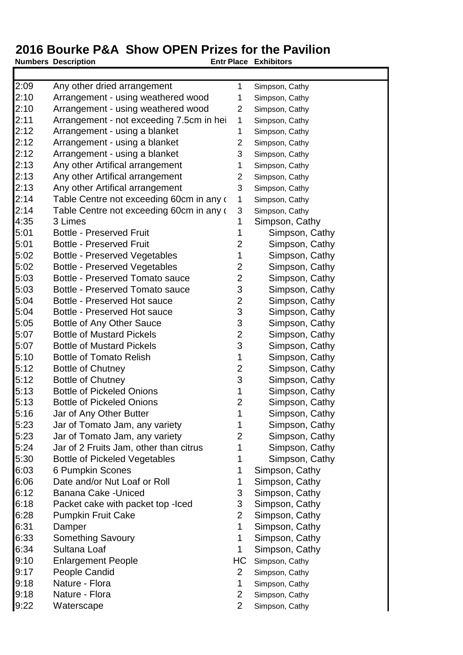2:09 Any other dried arrangement 1 Simpson, Cathy 2:10 Arrangement - using weathered wood 1 Simpson, Cathy 2:10 Arrangement - using weathered wood 2 Simpson, Cathy 2:11 Arrangement - not exceeding 7.5cm in heind-1 Simpson, Cathy 2:12 Arrangement - using a blanket 1 Simpson, Cathy 2:12 Arrangement - using a blanket 2 Simpson, Cathy 2:12 Arrangement - using a blanket 3 Simpson, Cathy 2:13 Any other Artifical arrangement 1 Simpson, Cathy 2:13 Any other Artifical arrangement 2 Simpson, Cathy 2:13 Any other Artifical arrangement 3 Simpson, Cathy 2:14 Table Centre not exceeding 60cm in any c 1 Simpson, Cathy  $2:14$  Table Centre not exceeding 60cm in any  $(3 \text{ Simpson}, \text{Cathy})$ 4:35 3 Limes 2008 1 Simpson, Cathy 5:01 Bottle - Preserved Fruit 1 Simpson, Cathy 5:01 Bottle - Preserved Fruit 2 Simpson, Cathy 5:02 Bottle - Preserved Vegetables 1 Simpson, Cathy 5:02 Bottle - Preserved Vegetables 2 Simpson, Cathy 5:03 Bottle - Preserved Tomato sauce 2 Simpson, Cathy 5:03 Bottle - Preserved Tomato sauce 3 Simpson, Cathy 5:04 Bottle - Preserved Hot sauce 2 Simpson, Cathy 5:04 Bottle - Preserved Hot sauce 3 Simpson, Cathy 5:05 Bottle of Any Other Sauce 3 Simpson, Cathy 5:07 Bottle of Mustard Pickels 2 Simpson, Cathy 5:07 Bottle of Mustard Pickels 3 Simpson, Cathy 5:10 Bottle of Tomato Relish 1 Simpson, Cathy 5:12 Bottle of Chutney 2 Simpson, Cathy 5:12 Bottle of Chutney **3** Simpson, Cathy 5:13 Bottle of Pickeled Onions 1 Simpson, Cathy 5:13 Bottle of Pickeled Onions 2 Simpson, Cathy 5:16 Jar of Any Other Butter 1 Simpson, Cathy 5:23 Jar of Tomato Jam, any variety 1 Simpson, Cathy 5:23 Jar of Tomato Jam, any variety 2 Simpson, Cathy 5:24 Jar of 2 Fruits Jam, other than citrus 1 Simpson, Cathy 5:30 Bottle of Pickeled Vegetables 1 Simpson, Cathy

- 6:03 6 Pumpkin Scones 1 Simpson, Cathy
- 6:06 Date and/or Nut Loaf or Roll 1 Simpson, Cathy
- 6:12 Banana Cake -Uniced 3 Simpson, Cathy
- 6:18 Packet cake with packet top lced 3 Simpson, Cathy
- 6:28 Pumpkin Fruit Cake 2 Simpson, Cathy
- 
- 6:33 Something Savoury 1 Simpson, Cathy
- 6:34 Sultana Loaf 1 Simpson, Cathy
- 9:10 Enlargement People **HC** Simpson, Cathy
- 9:17 People Candid 2 Simpson, Cathy
- 9:18 Nature Flora 1 Simpson, Cathy
- 9:18 Nature Flora 2 Simpson, Cathy
- 9:22 Waterscape 2 Simpson, Cathy

**Numbers** Description **Entrants Place Exhibitors** 

- 
- 
- 
- 
- 
- 
- 6:31 Damper 1 Simpson, Cathy
	-
	-
	-
	-
	-
	-
	-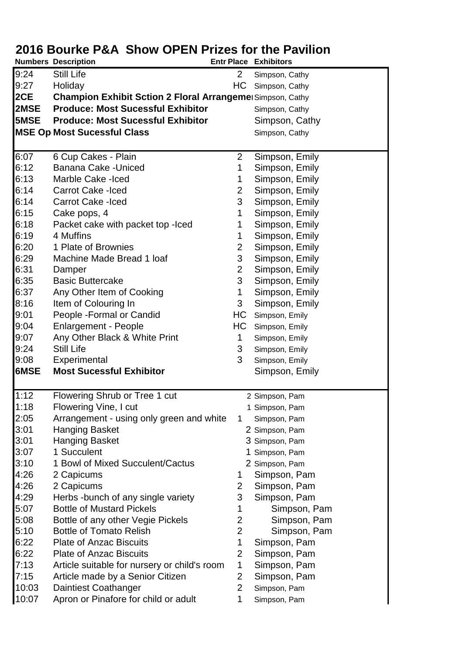|       | <b>Numbers Description</b>                                       | <b>Entr Place Exhibitors</b> |                |
|-------|------------------------------------------------------------------|------------------------------|----------------|
| 9:24  | Still Life                                                       | $\overline{2}$               | Simpson, Cathy |
| 9:27  | Holiday                                                          | HС                           | Simpson, Cathy |
| 2CE   | <b>Champion Exhibit Sction 2 Floral Arrangeme</b> Simpson, Cathy |                              |                |
| 2MSE  | <b>Produce: Most Sucessful Exhibitor</b>                         |                              | Simpson, Cathy |
| 5MSE  | <b>Produce: Most Sucessful Exhibitor</b>                         |                              | Simpson, Cathy |
|       | <b>MSE Op Most Sucessful Class</b>                               |                              | Simpson, Cathy |
|       |                                                                  |                              |                |
| 6:07  | 6 Cup Cakes - Plain                                              | $\overline{2}$               | Simpson, Emily |
| 6:12  | <b>Banana Cake - Uniced</b>                                      | 1                            | Simpson, Emily |
| 6:13  | Marble Cake -Iced                                                | 1                            | Simpson, Emily |
| 6:14  | <b>Carrot Cake -Iced</b>                                         | $\overline{2}$               | Simpson, Emily |
| 6:14  | <b>Carrot Cake -Iced</b>                                         | 3                            | Simpson, Emily |
| 6:15  | Cake pops, 4                                                     | 1                            | Simpson, Emily |
| 6:18  | Packet cake with packet top - lced                               | 1                            | Simpson, Emily |
| 6:19  | 4 Muffins                                                        | 1                            | Simpson, Emily |
| 6:20  | 1 Plate of Brownies                                              | 2                            | Simpson, Emily |
| 6:29  | Machine Made Bread 1 loaf                                        | 3                            | Simpson, Emily |
| 6:31  | Damper                                                           | $\overline{2}$               | Simpson, Emily |
| 6:35  | <b>Basic Buttercake</b>                                          | 3                            | Simpson, Emily |
| 6:37  |                                                                  | 1                            | Simpson, Emily |
| 8:16  | Any Other Item of Cooking                                        | 3                            |                |
|       | Item of Colouring In                                             |                              | Simpson, Emily |
| 9:01  | People - Formal or Candid                                        | HC                           | Simpson, Emily |
| 9:04  | <b>Enlargement - People</b>                                      | HC                           | Simpson, Emily |
| 9:07  | Any Other Black & White Print                                    | 1                            | Simpson, Emily |
| 9:24  | <b>Still Life</b>                                                | 3                            | Simpson, Emily |
| 9:08  | Experimental                                                     | 3                            | Simpson, Emily |
| 6MSE  | <b>Most Sucessful Exhibitor</b>                                  |                              | Simpson, Emily |
| 1:12  | Flowering Shrub or Tree 1 cut                                    |                              | 2 Simpson, Pam |
| 1:18  | Flowering Vine, I cut                                            |                              | 1 Simpson, Pam |
| 2:05  | Arrangement - using only green and white                         | 1                            | Simpson, Pam   |
| 3:01  | <b>Hanging Basket</b>                                            |                              | 2 Simpson, Pam |
| 3:01  | <b>Hanging Basket</b>                                            |                              | 3 Simpson, Pam |
| 3:07  | 1 Succulent                                                      |                              | Simpson, Pam   |
| 3:10  | 1 Bowl of Mixed Succulent/Cactus                                 |                              | 2 Simpson, Pam |
| 4:26  | 2 Capicums                                                       | 1                            | Simpson, Pam   |
| 4:26  | 2 Capicums                                                       | 2                            | Simpson, Pam   |
| 4:29  | Herbs -bunch of any single variety                               | 3                            | Simpson, Pam   |
| 5:07  | <b>Bottle of Mustard Pickels</b>                                 | 1                            | Simpson, Pam   |
| 5:08  | Bottle of any other Vegie Pickels                                | 2                            | Simpson, Pam   |
| 5:10  | <b>Bottle of Tomato Relish</b>                                   | $\overline{2}$               | Simpson, Pam   |
| 6:22  | <b>Plate of Anzac Biscuits</b>                                   | 1                            | Simpson, Pam   |
| 6:22  | <b>Plate of Anzac Biscuits</b>                                   | $\overline{2}$               | Simpson, Pam   |
| 7:13  | Article suitable for nursery or child's room                     | 1                            | Simpson, Pam   |
| 7:15  | Article made by a Senior Citizen                                 | 2                            | Simpson, Pam   |
| 10:03 |                                                                  | $\overline{2}$               |                |
|       | Daintiest Coathanger                                             |                              | Simpson, Pam   |
| 10:07 | Apron or Pinafore for child or adult                             | 1                            | Simpson, Pam   |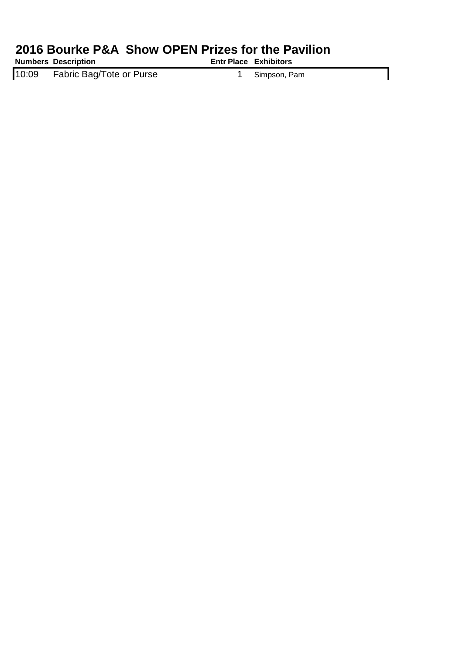**Numbers** Description **CONSISTENTS Entrants Place Exhibitors** 

10:09 Fabric Bag/Tote or Purse 1 Simpson, Pam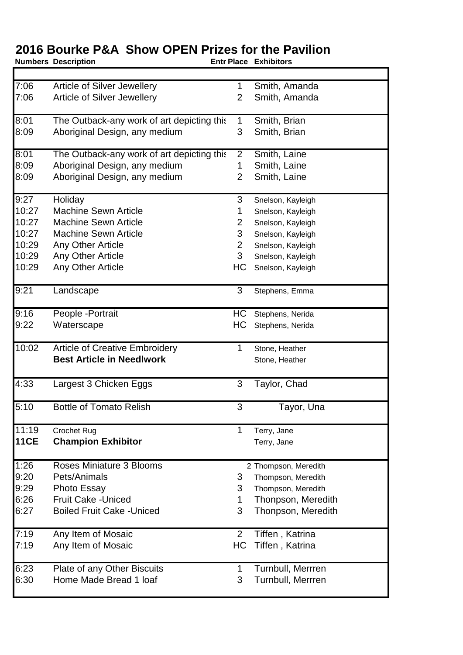**Numbers** Description **CONSISTENTS Entrants Place Exhibitors** 

┓

| $\overline{7:06}$ | <b>Article of Silver Jewellery</b>         |                | Smith, Amanda        |
|-------------------|--------------------------------------------|----------------|----------------------|
| 7:06              | Article of Silver Jewellery                | $\overline{2}$ | Smith, Amanda        |
|                   |                                            |                |                      |
| 8:01              | The Outback-any work of art depicting this |                | Smith, Brian         |
| 8:09              | Aboriginal Design, any medium              | 3              | Smith, Brian         |
|                   |                                            |                |                      |
| 8:01              | The Outback-any work of art depicting this | $\overline{2}$ | Smith, Laine         |
| 8:09              | Aboriginal Design, any medium              | 1              | Smith, Laine         |
| 8:09              | Aboriginal Design, any medium              | $\overline{2}$ | Smith, Laine         |
| 9:27              | Holiday                                    | 3              | Snelson, Kayleigh    |
| 10:27             | <b>Machine Sewn Article</b>                | 1              | Snelson, Kayleigh    |
| 10:27             | <b>Machine Sewn Article</b>                | 2              | Snelson, Kayleigh    |
| 10:27             | <b>Machine Sewn Article</b>                | 3              | Snelson, Kayleigh    |
| 10:29             | Any Other Article                          | $\overline{2}$ | Snelson, Kayleigh    |
| 10:29             | Any Other Article                          | 3              | Snelson, Kayleigh    |
| 10:29             | Any Other Article                          | HC             | Snelson, Kayleigh    |
|                   |                                            |                |                      |
| 9:21              | Landscape                                  | 3              | Stephens, Emma       |
| 9:16              | People - Portrait                          | НC             | Stephens, Nerida     |
| 9:22              | Waterscape                                 | HC             | Stephens, Nerida     |
|                   |                                            |                |                      |
| 10:02             | <b>Article of Creative Embroidery</b>      | 1              | Stone, Heather       |
|                   | <b>Best Article in Needlwork</b>           |                | Stone, Heather       |
|                   |                                            |                |                      |
| 4:33              | Largest 3 Chicken Eggs                     | 3              | Taylor, Chad         |
| 5:10              | <b>Bottle of Tomato Relish</b>             | 3              | Tayor, Una           |
|                   |                                            |                |                      |
| 11:19             | Crochet Rug                                | 1              | Terry, Jane          |
| <b>11CE</b>       | <b>Champion Exhibitor</b>                  |                | Terry, Jane          |
|                   |                                            |                |                      |
| 1:26              | Roses Miniature 3 Blooms                   |                | 2 Thompson, Meredith |
| 9:20              | Pets/Animals                               | 3              | Thompson, Meredith   |
| 9:29              | Photo Essay                                | 3              | Thompson, Meredith   |
| 6:26              | <b>Fruit Cake - Uniced</b>                 | 1              | Thonpson, Meredith   |
| 6:27              | <b>Boiled Fruit Cake - Uniced</b>          | 3              | Thonpson, Meredith   |
|                   |                                            |                |                      |
| 7:19              | Any Item of Mosaic                         | 2              | Tiffen, Katrina      |
| 7:19              | Any Item of Mosaic                         | HС             | Tiffen, Katrina      |
|                   |                                            |                |                      |
| 6:23              | Plate of any Other Biscuits                | 1              | Turnbull, Merrren    |
| 6:30              | Home Made Bread 1 loaf                     | 3              | Turnbull, Merrren    |
|                   |                                            |                |                      |